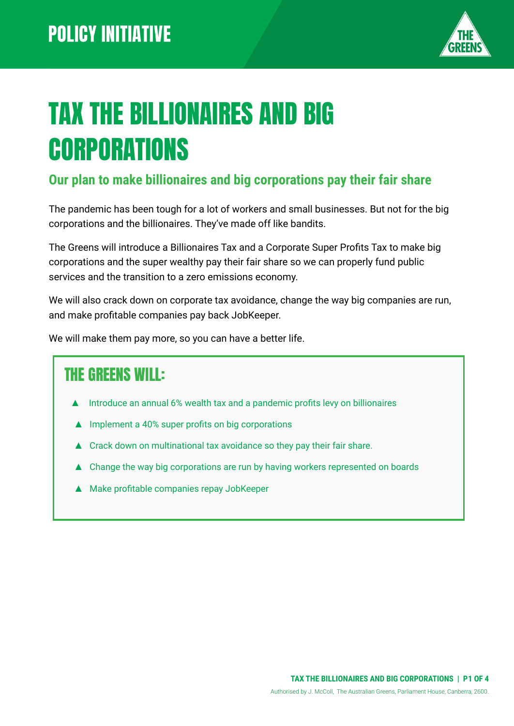

# TAX THE BILLIONAIRES AND BIG **CORPORATIONS**

#### **Our plan to make billionaires and big corporations pay their fair share**

The pandemic has been tough for a lot of workers and small businesses. But not for the big corporations and the billionaires. They've made off like bandits.

The Greens will introduce a Billionaires Tax and a Corporate Super Profits Tax to make big corporations and the super wealthy pay their fair share so we can properly fund public services and the transition to a zero emissions economy.

We will also crack down on corporate tax avoidance, change the way big companies are run, and make profitable companies pay back JobKeeper.

We will make them pay more, so you can have a better life.

#### THE GREENS WILL:

- Introduce an annual 6% wealth tax and a pandemic profits levy on billionaires
- Implement a 40% super profits on big corporations
- ▲ Crack down on multinational tax avoidance so they pay their fair share.
- ▲ Change the way big corporations are run by having workers represented on boards
- ▲ Make profitable companies repay JobKeeper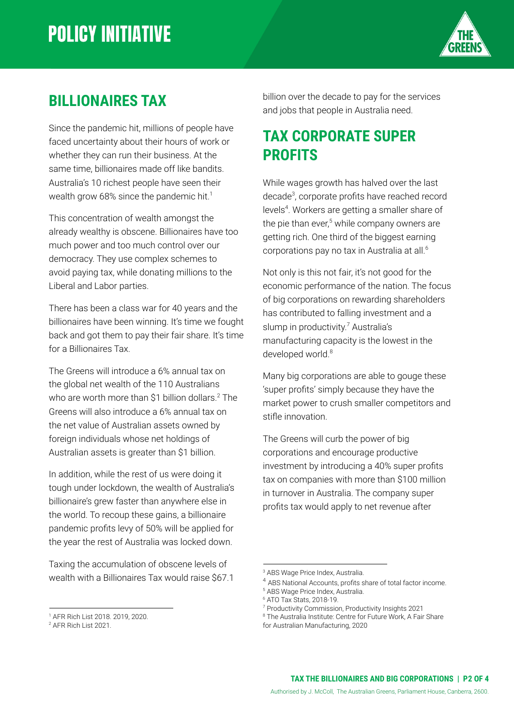

#### **BILLIONAIRES TAX**

Since the pandemic hit, millions of people have faced uncertainty about their hours of work or whether they can run their business. At the same time, billionaires made off like bandits. Australia's 10 richest people have seen their wealth grow 68% since the pandemic hit.<sup>1</sup>

This concentration of wealth amongst the already wealthy is obscene. Billionaires have too much power and too much control over our democracy. They use complex schemes to avoid paying tax, while donating millions to the Liberal and Labor parties.

There has been a class war for 40 years and the billionaires have been winning. It's time we fought back and got them to pay their fair share. It's time for a Billionaires Tax.

The Greens will introduce a 6% annual tax on the global net wealth of the 110 Australians who are worth more than \$1 billion dollars.<sup>2</sup> The Greens will also introduce a 6% annual tax on the net value of Australian assets owned by foreign individuals whose net holdings of Australian assets is greater than \$1 billion.

In addition, while the rest of us were doing it tough under lockdown, the wealth of Australia's billionaire's grew faster than anywhere else in the world. To recoup these gains, a billionaire pandemic profits levy of 50% will be applied for the year the rest of Australia was locked down.

Taxing the accumulation of obscene levels of wealth with a Billionaires Tax would raise \$67.1 billion over the decade to pay for the services and jobs that people in Australia need.

#### **TAX CORPORATE SUPER PROFITS**

While wages growth has halved over the last decade<sup>3</sup>, corporate profits have reached record levels<sup>4</sup>. Workers are getting a smaller share of the pie than ever,<sup>5</sup> while company owners are getting rich. One third of the biggest earning corporations pay no tax in Australia at all.<sup>6</sup>

Not only is this not fair, it's not good for the economic performance of the nation. The focus of big corporations on rewarding shareholders has contributed to falling investment and a slump in productivity.<sup>7</sup> Australia's manufacturing capacity is the lowest in the developed world.<sup>8</sup>

Many big corporations are able to gouge these 'super profits' simply because they have the market power to crush smaller competitors and stifle innovation.

The Greens will curb the power of big corporations and encourage productive investment by introducing a 40% super profits tax on companies with more than \$100 million in turnover in Australia. The company super profits tax would apply to net revenue after

<sup>1</sup> AFR Rich List 2018. 2019, 2020.

<sup>2</sup> AFR Rich List 2021.

<sup>&</sup>lt;sup>3</sup> ABS Wage Price Index, Australia.

<sup>4</sup> ABS National Accounts, profits share of total factor income.

<sup>5</sup> ABS Wage Price Index, Australia.

<sup>6</sup> ATO Tax Stats, 2018-19.

<sup>7</sup> Productivity Commission, Productivity Insights 2021

<sup>&</sup>lt;sup>8</sup> The Australia Institute: Centre for Future Work, A Fair [Share](https://d3n8a8pro7vhmx.cloudfront.net/theausinstitute/pages/3332/attachments/original/1595693276/A_Fair_Share_for_Australian_Manufacturing.pdf?1595693276) for Australian [Manufacturing,](https://d3n8a8pro7vhmx.cloudfront.net/theausinstitute/pages/3332/attachments/original/1595693276/A_Fair_Share_for_Australian_Manufacturing.pdf?1595693276) 2020

**TAX THE BILLIONAIRES AND BIG CORPORATIONS | P2 OF 4**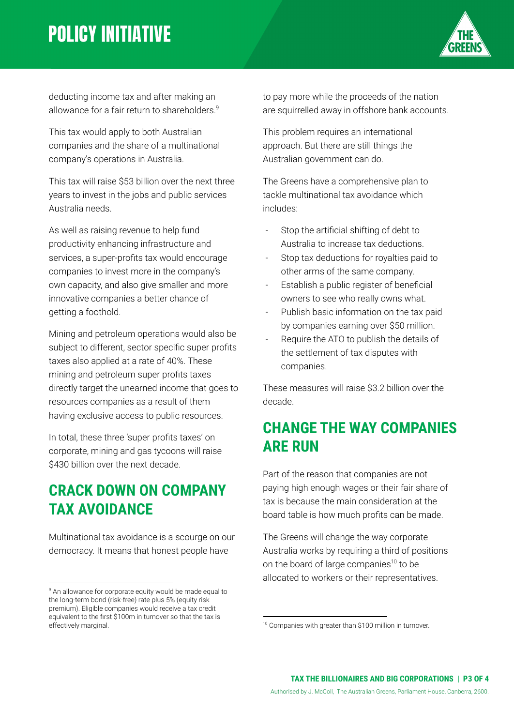## **POLICY INITIATIVE**



deducting income tax and after making an allowance for a fair return to shareholders.<sup>9</sup>

This tax would apply to both Australian companies and the share of a multinational company's operations in Australia.

This tax will raise \$53 billion over the next three years to invest in the jobs and public services Australia needs.

As well as raising revenue to help fund productivity enhancing infrastructure and services, a super-profits tax would encourage companies to invest more in the company's own capacity, and also give smaller and more innovative companies a better chance of getting a foothold.

Mining and petroleum operations would also be subject to different, sector specific super profits taxes also applied at a rate of 40%. These mining and petroleum super profits taxes directly target the unearned income that goes to resources companies as a result of them having exclusive access to public resources.

In total, these three 'super profits taxes' on corporate, mining and gas tycoons will raise \$430 billion over the next decade.

#### **CRACK DOWN ON COMPANY TAX AVOIDANCE**

Multinational tax avoidance is a scourge on our democracy. It means that honest people have

to pay more while the proceeds of the nation are squirrelled away in offshore bank accounts.

This problem requires an international approach. But there are still things the Australian government can do.

The Greens have a comprehensive plan to tackle multinational tax avoidance which includes:

- Stop the artificial shifting of debt to Australia to increase tax deductions.
- Stop tax deductions for royalties paid to other arms of the same company.
- Establish a public register of beneficial owners to see who really owns what.
- Publish basic information on the tax paid by companies earning over \$50 million.
- Require the ATO to publish the details of the settlement of tax disputes with companies.

These measures will raise \$3.2 billion over the decade.

#### **CHANGE THE WAY COMPANIES ARE RUN**

Part of the reason that companies are not paying high enough wages or their fair share of tax is because the main consideration at the board table is how much profits can be made.

The Greens will change the way corporate Australia works by requiring a third of positions on the board of large companies $10$  to be allocated to workers or their representatives.

<sup>&</sup>lt;sup>9</sup> An allowance for corporate equity would be made equal to the long-term bond (risk-free) rate plus 5% (equity risk premium). Eligible companies would receive a tax credit equivalent to the first \$100m in turnover so that the tax is effectively marginal.

<sup>&</sup>lt;sup>10</sup> Companies with greater than \$100 million in turnover.